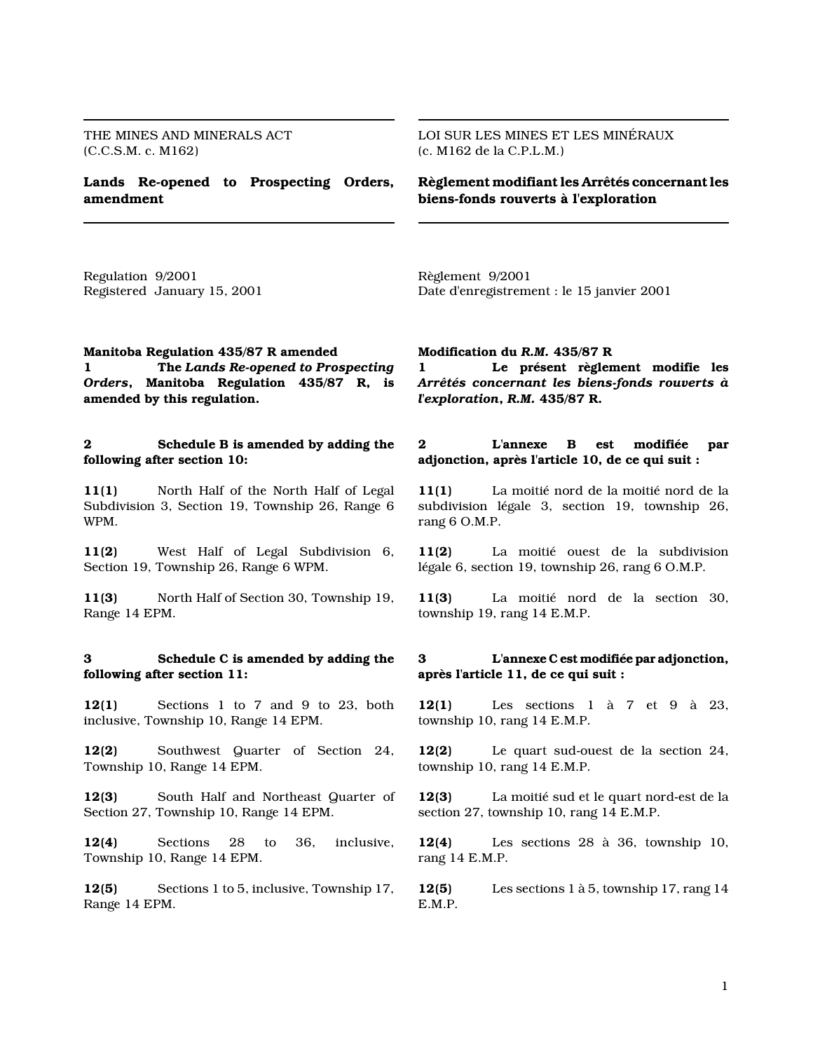THE MINES AND MINERALS ACT (C.C.S.M. c. M162)

Lands Re-opened to Prospecting Orders, amendment

LOI SUR LES MINES ET LES MINÉRAUX (c. M162 de la C.P.L.M.)

Règlement modifiant les Arrêtés concernant les biens-fonds rouverts à l'exploration

Regulation 9/2001 Registered January 15, 2001 Règlement 9/2001 Date d'enregistrement : le 15 janvier 2001

# Manitoba Regulation 435/87 R amended

1 The Lands Re-opened to Prospecting Orders, Manitoba Regulation 435/87 R, is amended by this regulation.

## 2 Schedule B is amended by adding the following after section 10:

11(1) North Half of the North Half of Legal Subdivision 3, Section 19, Township 26, Range 6 WPM.

11(2) West Half of Legal Subdivision 6, Section 19, Township 26, Range 6 WPM.

11(3) North Half of Section 30, Township 19, Range 14 EPM.

## 3 Schedule C is amended by adding the following after section 11:

12(1) Sections 1 to 7 and 9 to 23, both inclusive, Township 10, Range 14 EPM.

12(2) Southwest Quarter of Section 24, Township 10, Range 14 EPM.

12(3) South Half and Northeast Quarter of Section 27, Township 10, Range 14 EPM.

12(4) Sections 28 to 36, inclusive, Township 10, Range 14 EPM.

12(5) Sections 1 to 5, inclusive, Township 17, Range 14 EPM.

#### Modification du R.M. 435/87 R

1 Le présent règlement modifie les Arrêtés concernant les biens-fonds rouverts à l'exploration, R.M. 435/87 R.

## 2 L'annexe B est modifiée par adjonction, après l'article 10, de ce qui suit :

11(1) La moitié nord de la moitié nord de la subdivision légale 3, section 19, township 26, rang 6 O.M.P.

11(2) La moitié ouest de la subdivision légale 6, section 19, township 26, rang 6 O.M.P.

11(3) La moitié nord de la section 30, township 19, rang 14 E.M.P.

## 3 L'annexe C est modifiée par adjonction, après l'article 11, de ce qui suit :

12(1) Les sections 1 à 7 et 9 à 23, township 10, rang 14 E.M.P.

12(2) Le quart sud-ouest de la section 24, township 10, rang 14 E.M.P.

12(3) La moitié sud et le quart nord-est de la section 27, township 10, rang 14 E.M.P.

12(4) Les sections 28 à 36, township 10, rang 14 E.M.P.

12(5) Les sections 1 à 5, township 17, rang 14 E.M.P.